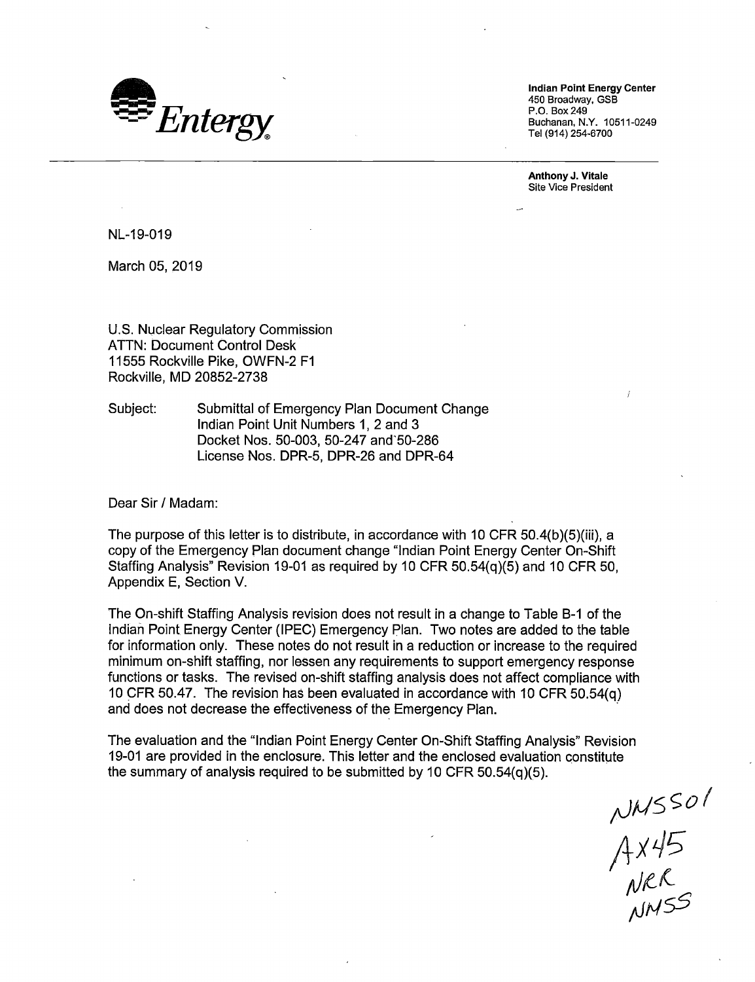

**Indian Point Energy Center**  450 Broadway, GSB P.O. Box249 Buchanan, N.Y. 10511-0249 Tel (914) 254-6700

**Anthony J. Vitale**  Site Vice President

NL-19-019

March 05, 2019

U.S. Nuclear Regulatory Commission ATTN: Document Control Desk 11555 Rockville Pike, OWFN-2 F1 Rockville, MD 20852-2738

Subject: Submittal of Emergency Plan Document Change Indian Point Unit Numbers 1, 2 and 3 Docket Nos. 50-003, 50-247 and"50-286 License Nos. DPR-5, DPR-26 and DPR-64

Dear Sir/ Madam:

The purpose of this letter is to distribute, in accordance with 10 CFR 50.4(b)(5)(iii), a copy of the Emergency Plan document change "Indian Point Energy Center On-Shift Staffing Analysis" Revision 19-01 as required by 10 CFR 50.54(q)(5) and 10 CFR 50, Appendix E, Section V.

The On-shift Staffing Analysis revision does not result in a change to Table 8-1 of the Indian Point Energy Center (IPEC) Emergency Plan. Two notes are added to the table for information only. These notes do not result in a reduction or increase to the required minimum on-shift staffing, nor lessen any requirements to support emergency response functions or tasks. The revised on-shift staffing analysis does not affect compliance with 10 CFR 50.47. The revision has been evaluated in accordance with 10 CFR 50.54(q) and does not decrease the effectiveness of the Emergency Plan.

The evaluation and the "Indian Point Energy Center On-Shift Staffing Analysis" Revision 19-01 are provided in the enclosure. This letter and the enclosed evaluation constitute the summary of analysis required to be submitted by 10 CFR 50.54(q)(5).

NMSSO1<br>AX45<br>NRR<br>NMSS